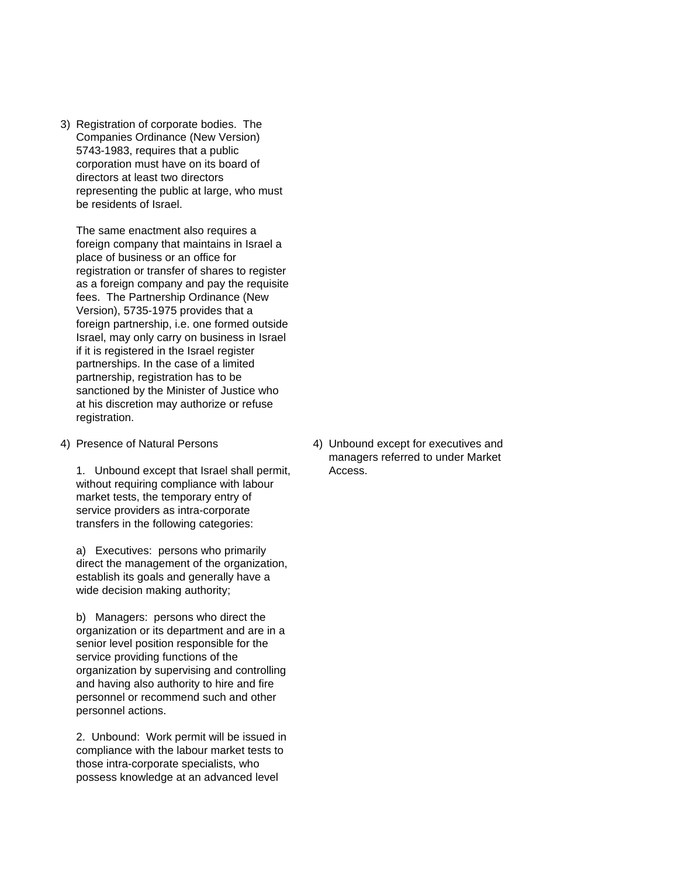3) Registration of corporate bodies. The Companies Ordinance (New Version) 5743-1983, requires that a public corporation must have on its board of directors at least two directors representing the public at large, who must be residents of Israel.

The same enactment also requires a foreign company that maintains in Israel a place of business or an office for registration or transfer of shares to register as a foreign company and pay the requisite fees. The Partnership Ordinance (New Version), 5735-1975 provides that a foreign partnership, i.e. one formed outside Israel, may only carry on business in Israel if it is registered in the Israel register partnerships. In the case of a limited partnership, registration has to be sanctioned by the Minister of Justice who at his discretion may authorize or refuse registration.

1. Unbound except that Israel shall permit, Access. without requiring compliance with labour market tests, the temporary entry of service providers as intra-corporate transfers in the following categories:

a) Executives: persons who primarily direct the management of the organization, establish its goals and generally have a wide decision making authority;

b) Managers: persons who direct the organization or its department and are in a senior level position responsible for the service providing functions of the organization by supervising and controlling and having also authority to hire and fire personnel or recommend such and other personnel actions.

2. Unbound: Work permit will be issued in compliance with the labour market tests to those intra-corporate specialists, who possess knowledge at an advanced level

4) Presence of Natural Persons 4) Unbound except for executives and managers referred to under Market